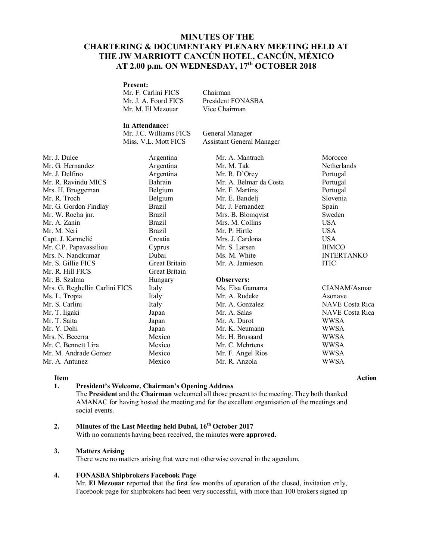# **MINUTES OF THE CHARTERING & DOCUMENTARY PLENARY MEETING HELD AT THE JW MARRIOTT CANCÚN HOTEL, CANCÚN, MÉXICO AT 2.00 p.m. ON WEDNESDAY, 17 th OCTOBER 2018**

## **Present:**

Mr. F. Carlini FICS Chairman Mr. J. A. Foord FICS President FONASBA Mr. M. El Mezouar Vice Chairman

# **In Attendance:**

Mr. J.C. Williams FICS General Manager

Miss. V.L. Mott FICS Assistant General Manager

Mr. J. Dulce **Argentina** Mr. A. Mantrach Morocco Mr. G. Hernandez Argentina Mr. M. Tak Netherlands Mr. J. Delfino Argentina Mr. R. D'Orey Portugal Mr. R. Ravindu MICS Bahrain Mr. A. Belmar da Costa Portugal Mrs. H. Bruggeman Belgium Mr. F. Martins Portugal Mr. R. Troch Belgium Mr. E. Bandelj Slovenia Mr. G. Gordon Findlay Brazil Mr. J. Fernandez Spain Mr. W. Rocha jnr. Brazil Mrs. B. Blomqvist Sweden Mr. A. Zanin Brazil Mrs. M. Collins USA Mr. M. Neri Brazil Mr. P. Hirtle USA Capt. J. Karmelić Croatia Mrs. J. Cardona USA Mr. C.P. Papavassiliou Cyprus Mr. S. Larsen BIMCO Mrs. N. Nandkumar Dubai Ms. M. White INTERTANKO Mr. S. Gillie FICS Great Britain Mr. A. Jamieson ITIC Mr. R. Hill FICS Great Britain Mr. B. Szalma Hungary **Observers:** Mrs. G. Reghellin Carlini FICS Italy Ms. Elsa Gamarra CIANAM/Asmar Ms. L. Tropia **Italy** Italy Mr. A. Rudeke Asonave Mr. S. Carlini **Italy** Italy Mr. A. Gonzalez **Italy Mr. A. Gonzalez** NAVE Costa Rica Mr. T. Iigaki Japan Mr. A. Salas NAVE Costa Rica Mr. Y. Dohi Japan Mr. K. Neumann WWSA Mrs. N. Becerra **Mexico** Mr. H. Brusaard WWSA Mr. C. Bennett Lira Mexico Mr. C. Mehrtens WWSA Mr. M. Andrade Gomez Mexico Mr. F. Angel Rios WWSA Mr. A. Antunez Mexico Mr. R. Anzola WWSA

Japan Mr. A. Durot WWSA

#### **1. President's Welcome, Chairman's Opening Address**

The **President** and the **Chairman** welcomed all those present to the meeting. They both thanked AMANAC for having hosted the meeting and for the excellent organisation of the meetings and social events.

### **2. Minutes of the Last Meeting held Dubai, 16 th October 2017**

With no comments having been received, the minutes **were approved.**

#### **3. Matters Arising**

There were no matters arising that were not otherwise covered in the agendum.

#### **4. FONASBA Shipbrokers Facebook Page**

Mr. **El Mezouar** reported that the first few months of operation of the closed, invitation only, Facebook page for shipbrokers had been very successful, with more than 100 brokers signed up

## **Item Action**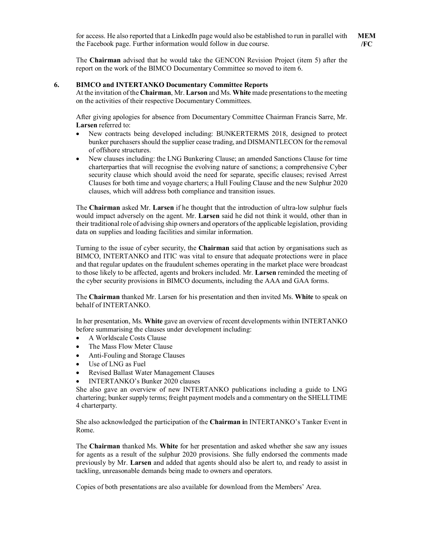The **Chairman** advised that he would take the GENCON Revision Project (item 5) after the report on the work of the BIMCO Documentary Committee so moved to item 6.

#### **6. BIMCO and INTERTANKO Documentary Committee Reports**

At the invitation of the **Chairman**, Mr. **Larson** and Ms. **White** made presentations to the meeting on the activities of their respective Documentary Committees.

After giving apologies for absence from Documentary Committee Chairman Francis Sarre, Mr. **Larsen** referred to:

- New contracts being developed including: BUNKERTERMS 2018, designed to protect bunker purchasers should the supplier cease trading, and DISMANTLECON for the removal of offshore structures.
- New clauses including: the LNG Bunkering Clause; an amended Sanctions Clause for time charterparties that will recognise the evolving nature of sanctions; a comprehensive Cyber security clause which should avoid the need for separate, specific clauses; revised Arrest Clauses for both time and voyage charters; a Hull Fouling Clause and the new Sulphur 2020 clauses, which will address both compliance and transition issues.

The **Chairman** asked Mr. **Larsen** if he thought that the introduction of ultra-low sulphur fuels would impact adversely on the agent. Mr. **Larsen** said he did not think it would, other than in their traditional role of advising ship owners and operators of the applicable legislation, providing data on supplies and loading facilities and similar information.

Turning to the issue of cyber security, the **Chairman** said that action by organisations such as BIMCO, INTERTANKO and ITIC was vital to ensure that adequate protections were in place and that regular updates on the fraudulent schemes operating in the market place were broadcast to those likely to be affected, agents and brokers included. Mr. **Larsen** reminded the meeting of the cyber security provisions in BIMCO documents, including the AAA and GAA forms.

The **Chairman** thanked Mr. Larsen for his presentation and then invited Ms. **White** to speak on behalf of INTERTANKO.

In her presentation, Ms. **White** gave an overview of recent developments within INTERTANKO before summarising the clauses under development including:

- A Worldscale Costs Clause
- The Mass Flow Meter Clause
- Anti-Fouling and Storage Clauses
- Use of LNG as Fuel
- Revised Ballast Water Management Clauses
- INTERTANKO's Bunker 2020 clauses

She also gave an overview of new INTERTANKO publications including a guide to LNG chartering; bunker supply terms; freight payment models and a commentary on the SHELLTIME 4 charterparty.

She also acknowledged the participation of the **Chairman i**n INTERTANKO's Tanker Event in Rome.

The **Chairman** thanked Ms. **White** for her presentation and asked whether she saw any issues for agents as a result of the sulphur 2020 provisions. She fully endorsed the comments made previously by Mr. **Larsen** and added that agents should also be alert to, and ready to assist in tackling, unreasonable demands being made to owners and operators.

Copies of both presentations are also available for download from the Members' Area.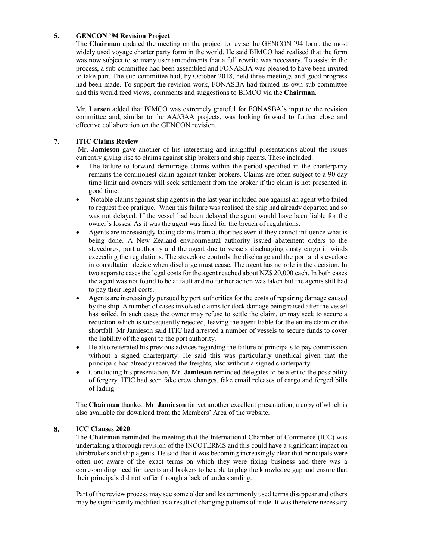#### **5. GENCON '94 Revision Project**

The **Chairman** updated the meeting on the project to revise the GENCON '94 form, the most widely used voyage charter party form in the world. He said BIMCO had realised that the form was now subject to so many user amendments that a full rewrite was necessary. To assist in the process, a sub-committee had been assembled and FONASBA was pleased to have been invited to take part. The sub-committee had, by October 2018, held three meetings and good progress had been made. To support the revision work, FONASBA had formed its own sub-committee and this would feed views, comments and suggestions to BIMCO via the **Chairman**.

Mr. **Larsen** added that BIMCO was extremely grateful for FONASBA's input to the revision committee and, similar to the AA/GAA projects, was looking forward to further close and effective collaboration on the GENCON revision.

### **7. ITIC Claims Review**

Mr. **Jamieson** gave another of his interesting and insightful presentations about the issues currently giving rise to claims against ship brokers and ship agents. These included:

- The failure to forward demurrage claims within the period specified in the charterparty remains the commonest claim against tanker brokers. Claims are often subject to a 90 day time limit and owners will seek settlement from the broker if the claim is not presented in good time.
- Notable claims against ship agents in the last year included one against an agent who failed to request free pratique. When this failure was realised the ship had already departed and so was not delayed. If the vessel had been delayed the agent would have been liable for the owner's losses. As it was the agent was fined for the breach of regulations.
- Agents are increasingly facing claims from authorities even if they cannot influence what is being done. A New Zealand environmental authority issued abatement orders to the stevedores, port authority and the agent due to vessels discharging dusty cargo in winds exceeding the regulations. The stevedore controls the discharge and the port and stevedore in consultation decide when discharge must cease. The agent has no role in the decision. In two separate cases the legal costs for the agent reached about NZ\$ 20,000 each. In both cases the agent was not found to be at fault and no further action was taken but the agents still had to pay their legal costs.
- Agents are increasingly pursued by port authorities for the costs of repairing damage caused by the ship. A number of cases involved claims for dock damage being raised after the vessel has sailed. In such cases the owner may refuse to settle the claim, or may seek to secure a reduction which is subsequently rejected, leaving the agent liable for the entire claim or the shortfall. Mr Jamieson said ITIC had arrested a number of vessels to secure funds to cover the liability of the agent to the port authority.
- He also reiterated his previous advices regarding the failure of principals to pay commission without a signed charterparty. He said this was particularly unethical given that the principals had already received the freights, also without a signed charterparty.
- Concluding his presentation, Mr. **Jamieson** reminded delegates to be alert to the possibility of forgery. ITIC had seen fake crew changes, fake email releases of cargo and forged bills of lading

The **Chairman** thanked Mr. **Jamieson** for yet another excellent presentation, a copy of which is also available for download from the Members' Area of the website.

### **8. ICC Clauses 2020**

The **Chairman** reminded the meeting that the International Chamber of Commerce (ICC) was undertaking a thorough revision of the INCOTERMS and this could have a significant impact on shipbrokers and ship agents. He said that it was becoming increasingly clear that principals were often not aware of the exact terms on which they were fixing business and there was a corresponding need for agents and brokers to be able to plug the knowledge gap and ensure that their principals did not suffer through a lack of understanding.

Part of the review process may see some older and les commonly used terms disappear and others may be significantly modified as a result of changing patterns of trade. It was therefore necessary